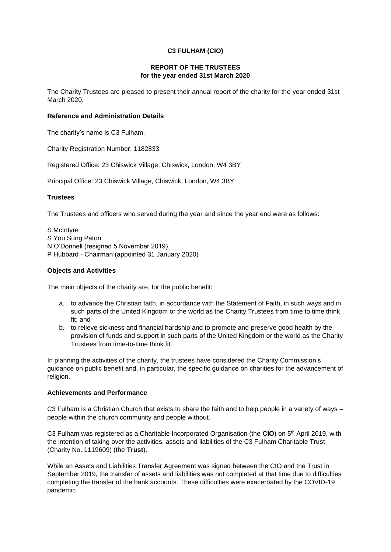# **C3 FULHAM (CIO)**

### **REPORT OF THE TRUSTEES for the year ended 31st March 2020**

The Charity Trustees are pleased to present their annual report of the charity for the year ended 31st March 2020.

#### **Reference and Administration Details**

The charity's name is C3 Fulham.

Charity Registration Number: 1182833

Registered Office: 23 Chiswick Village, Chiswick, London, W4 3BY

Principal Office: 23 Chiswick Village, Chiswick, London, W4 3BY

## **Trustees**

The Trustees and officers who served during the year and since the year end were as follows:

S McIntyre S You Sung Paton N O'Donnell (resigned 5 November 2019) P Hubbard - Chairman (appointed 31 January 2020)

## **Objects and Activities**

The main objects of the charity are, for the public benefit:

- a. to advance the Christian faith, in accordance with the Statement of Faith, in such ways and in such parts of the United Kingdom or the world as the Charity Trustees from time to time think fit; and
- b. to relieve sickness and financial hardship and to promote and preserve good health by the provision of funds and support in such parts of the United Kingdom or the world as the Charity Trustees from time-to-time think fit.

In planning the activities of the charity, the trustees have considered the Charity Commission's guidance on public benefit and, in particular, the specific guidance on charities for the advancement of religion.

#### **Achievements and Performance**

C3 Fulham is a Christian Church that exists to share the faith and to help people in a variety of ways – people within the church community and people without.

C3 Fulham was registered as a Charitable Incorporated Organisation (the **CIO**) on 5th April 2019, with the intention of taking over the activities, assets and liabilities of the C3 Fulham Charitable Trust (Charity No. 1119609) (the **Trust**).

While an Assets and Liabilities Transfer Agreement was signed between the CIO and the Trust in September 2019, the transfer of assets and liabilities was not completed at that time due to difficulties completing the transfer of the bank accounts. These difficulties were exacerbated by the COVID-19 pandemic.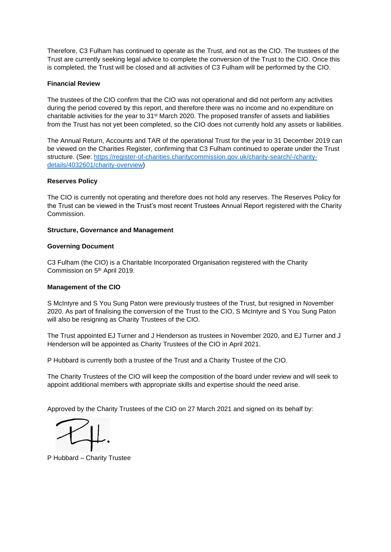Therefore, C3 Fulham has continued to operate as the Trust, and not as the CIO. The trustees of the Trust are currently seeking legal advice to complete the conversion of the Trust to the CIO. Once this is completed, the Trust will be closed and all activities of C3 Fulham will be performed by the CIO.

### **Financial Review**

The trustees of the CIO confirm that the CIO was not operational and did not perform any activities during the period covered by this report, and therefore there was no income and no expenditure on charitable activities for the year to 31<sup>st</sup> March 2020. The proposed transfer of assets and liabilities from the Trust has not yet been completed, so the CIO does not currently hold any assets or liabilities.

The Annual Return, Accounts and TAR of the operational Trust for the year to 31 December 2019 can be viewed on the Charities Register, confirming that C3 Fulham continued to operate under the Trust structure. (See: [https://register-of-charities.charitycommission.gov.uk/charity-search/-/charity](https://register-of-charities.charitycommission.gov.uk/charity-search/-/charity-details/4032601/charity-overview)[details/4032601/charity-overview\)](https://register-of-charities.charitycommission.gov.uk/charity-search/-/charity-details/4032601/charity-overview)

### **Reserves Policy**

The CIO is currently not operating and therefore does not hold any reserves. The Reserves Policy for the Trust can be viewed in the Trust's most recent Trustees Annual Report registered with the Charity Commission.

### **Structure, Governance and Management**

### **Governing Document**

C3 Fulham (the CIO) is a Charitable Incorporated Organisation registered with the Charity Commission on 5th April 2019.

## **Management of the CIO**

S McIntyre and S You Sung Paton were previously trustees of the Trust, but resigned in November 2020. As part of finalising the conversion of the Trust to the CIO, S McIntyre and S You Sung Paton will also be resigning as Charity Trustees of the CIO.

The Trust appointed EJ Turner and J Henderson as trustees in November 2020, and EJ Turner and J Henderson will be appointed as Charity Trustees of the CIO in April 2021.

P Hubbard is currently both a trustee of the Trust and a Charity Trustee of the CIO.

The Charity Trustees of the CIO will keep the composition of the board under review and will seek to appoint additional members with appropriate skills and expertise should the need arise.

Approved by the Charity Trustees of the CIO on 27 March 2021 and signed on its behalf by:

P Hubbard – Charity Trustee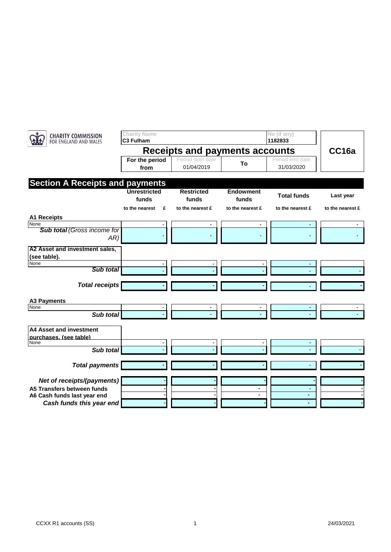| <b>CHARITY COMMISSION</b><br>FOR ENGLAND AND WALES | <b>Charity Name</b><br>C3 Fulham      |                                 |                           | No (if any)<br>1182833        |                  |
|----------------------------------------------------|---------------------------------------|---------------------------------|---------------------------|-------------------------------|------------------|
|                                                    | <b>Receipts and payments accounts</b> |                                 |                           |                               | CC16a            |
|                                                    | For the period<br>from                | Period start date<br>01/04/2019 | To                        | Period end date<br>31/03/2020 |                  |
|                                                    |                                       |                                 |                           |                               |                  |
| <b>Section A Receipts and payments</b>             | <b>Unrestricted</b><br>funds          | <b>Restricted</b><br>funds      | <b>Endowment</b><br>funds | <b>Total funds</b>            | Last year        |
|                                                    | £<br>to the nearest                   | to the nearest £                | to the nearest £          | to the nearest £              | to the nearest £ |
| <b>A1 Receipts</b>                                 |                                       |                                 |                           |                               |                  |
| None                                               |                                       |                                 |                           |                               |                  |
| <b>Sub total (Gross income for</b><br>AR)          |                                       |                                 |                           |                               |                  |
| A2 Asset and investment sales,                     |                                       |                                 |                           |                               |                  |
| (see table).                                       |                                       |                                 |                           |                               |                  |
| None                                               |                                       |                                 |                           |                               |                  |
| Sub total                                          |                                       |                                 |                           |                               |                  |
| <b>Total receipts</b>                              |                                       |                                 |                           |                               |                  |
| <b>A3 Payments</b>                                 |                                       |                                 |                           |                               |                  |
| None                                               |                                       |                                 |                           |                               |                  |
| Sub total                                          |                                       |                                 |                           |                               |                  |
| A4 Asset and investment                            |                                       |                                 |                           |                               |                  |
| purchases. (see table)<br>None                     |                                       |                                 |                           |                               |                  |
| Sub total                                          |                                       |                                 |                           |                               |                  |
|                                                    |                                       |                                 |                           |                               |                  |
| <b>Total payments</b>                              |                                       |                                 |                           |                               |                  |
| Net of receipts/(payments)                         |                                       |                                 |                           |                               |                  |
| A5 Transfers between funds                         |                                       |                                 |                           |                               |                  |
| A6 Cash funds last year end                        |                                       |                                 |                           | ٠                             |                  |
| Cash funds this year end                           |                                       |                                 |                           |                               |                  |